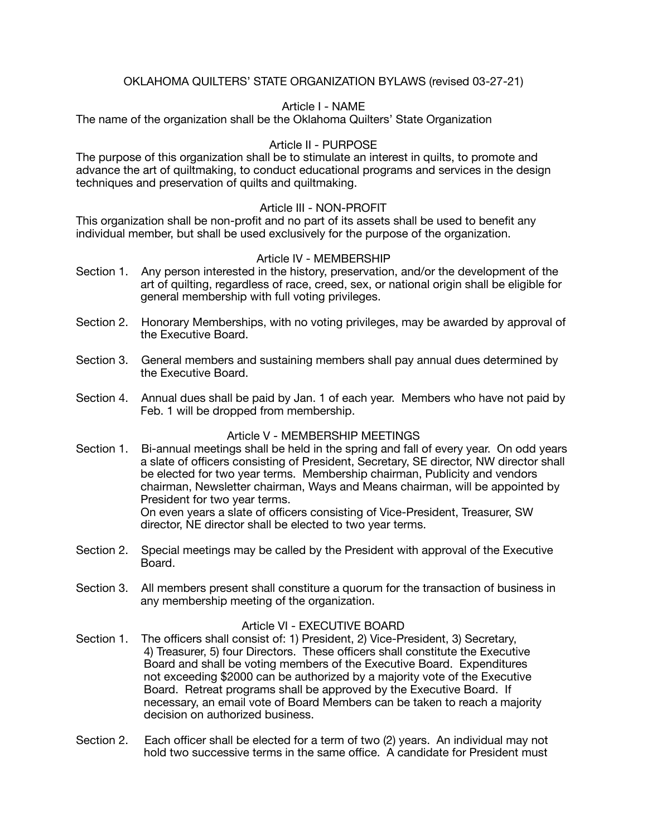# OKLAHOMA QUILTERS' STATE ORGANIZATION BYLAWS (revised 03-27-21)

## Article I - NAME

The name of the organization shall be the Oklahoma Quilters' State Organization

## Article II - PURPOSE

The purpose of this organization shall be to stimulate an interest in quilts, to promote and advance the art of quiltmaking, to conduct educational programs and services in the design techniques and preservation of quilts and quiltmaking.

### Article III - NON-PROFIT

This organization shall be non-profit and no part of its assets shall be used to benefit any individual member, but shall be used exclusively for the purpose of the organization.

### Article IV - MEMBERSHIP

- Section 1. Any person interested in the history, preservation, and/or the development of the art of quilting, regardless of race, creed, sex, or national origin shall be eligible for general membership with full voting privileges.
- Section 2. Honorary Memberships, with no voting privileges, may be awarded by approval of the Executive Board.
- Section 3. General members and sustaining members shall pay annual dues determined by the Executive Board.
- Section 4. Annual dues shall be paid by Jan. 1 of each year. Members who have not paid by Feb. 1 will be dropped from membership.

## Article V - MEMBERSHIP MEETINGS

- Section 1. Bi-annual meetings shall be held in the spring and fall of every year. On odd years a slate of officers consisting of President, Secretary, SE director, NW director shall be elected for two year terms. Membership chairman, Publicity and vendors chairman, Newsletter chairman, Ways and Means chairman, will be appointed by President for two year terms. On even years a slate of officers consisting of Vice-President, Treasurer, SW director, NE director shall be elected to two year terms.
- Section 2. Special meetings may be called by the President with approval of the Executive Board.
- Section 3. All members present shall constiture a quorum for the transaction of business in any membership meeting of the organization.

### Article VI - EXECUTIVE BOARD

- Section 1. The officers shall consist of: 1) President, 2) Vice-President, 3) Secretary, 4) Treasurer, 5) four Directors. These officers shall constitute the Executive Board and shall be voting members of the Executive Board. Expenditures not exceeding \$2000 can be authorized by a majority vote of the Executive Board. Retreat programs shall be approved by the Executive Board. If necessary, an email vote of Board Members can be taken to reach a majority decision on authorized business.
- Section 2. Each officer shall be elected for a term of two (2) years. An individual may not hold two successive terms in the same office. A candidate for President must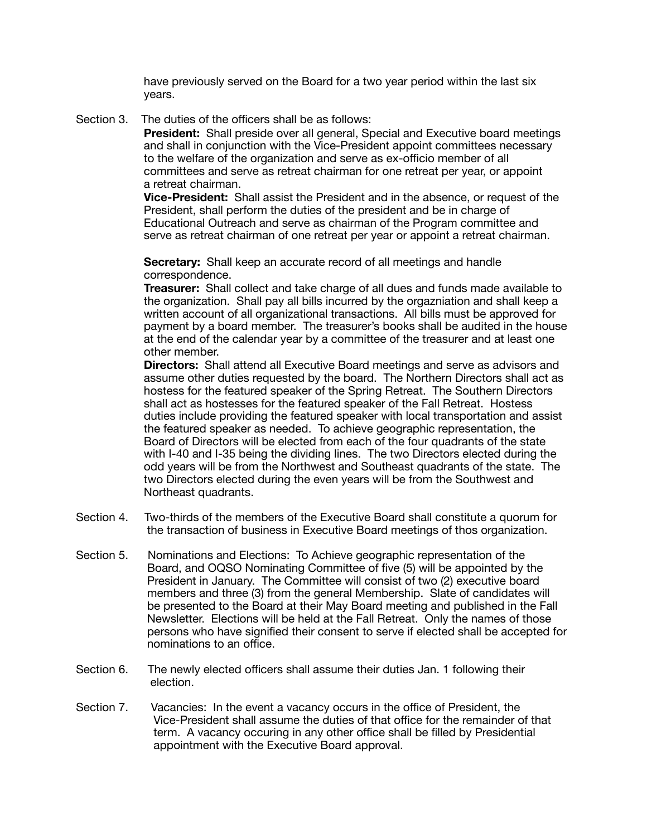have previously served on the Board for a two year period within the last six years.

Section 3. The duties of the officers shall be as follows:

 **President:** Shall preside over all general, Special and Executive board meetings and shall in conjunction with the Vice-President appoint committees necessary to the welfare of the organization and serve as ex-officio member of all committees and serve as retreat chairman for one retreat per year, or appoint a retreat chairman.

 **Vice-President:** Shall assist the President and in the absence, or request of the President, shall perform the duties of the president and be in charge of Educational Outreach and serve as chairman of the Program committee and serve as retreat chairman of one retreat per year or appoint a retreat chairman.

 **Secretary:** Shall keep an accurate record of all meetings and handle correspondence.

 **Treasurer:** Shall collect and take charge of all dues and funds made available to the organization. Shall pay all bills incurred by the orgazniation and shall keep a written account of all organizational transactions. All bills must be approved for payment by a board member. The treasurer's books shall be audited in the house at the end of the calendar year by a committee of the treasurer and at least one other member.

 **Directors:** Shall attend all Executive Board meetings and serve as advisors and assume other duties requested by the board. The Northern Directors shall act as hostess for the featured speaker of the Spring Retreat. The Southern Directors shall act as hostesses for the featured speaker of the Fall Retreat. Hostess duties include providing the featured speaker with local transportation and assist the featured speaker as needed. To achieve geographic representation, the Board of Directors will be elected from each of the four quadrants of the state with I-40 and I-35 being the dividing lines. The two Directors elected during the odd years will be from the Northwest and Southeast quadrants of the state. The two Directors elected during the even years will be from the Southwest and Northeast quadrants.

- Section 4. Two-thirds of the members of the Executive Board shall constitute a quorum for the transaction of business in Executive Board meetings of thos organization.
- Section 5. Nominations and Elections: To Achieve geographic representation of the Board, and OQSO Nominating Committee of five (5) will be appointed by the President in January. The Committee will consist of two (2) executive board members and three (3) from the general Membership. Slate of candidates will be presented to the Board at their May Board meeting and published in the Fall Newsletter. Elections will be held at the Fall Retreat. Only the names of those persons who have signified their consent to serve if elected shall be accepted for nominations to an office.
- Section 6. The newly elected officers shall assume their duties Jan. 1 following their election.
- Section 7. Vacancies: In the event a vacancy occurs in the office of President, the Vice-President shall assume the duties of that office for the remainder of that term. A vacancy occuring in any other office shall be filled by Presidential appointment with the Executive Board approval.